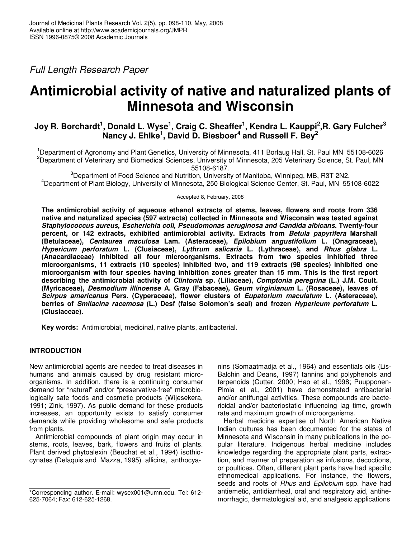*Full Length Research Paper*

# **Antimicrobial activity of native and naturalized plants of Minnesota and Wisconsin**

# Joy R. Borchardt<sup>1</sup>, Donald L. Wyse<sup>1</sup>, Craig C. Sheaffer<sup>1</sup>, Kendra L. Kauppi<sup>2</sup>,R. Gary Fulcher<sup>3</sup> **Nancy J. Ehlke 1 , David D. Biesboer 4 and Russell F. Bey 2**

<sup>1</sup>Department of Agronomy and Plant Genetics, University of Minnesota, 411 Borlaug Hall, St. Paul MN 55108-6026 <sup>2</sup>Department of Veterinary and Biomedical Sciences, University of Minnesota, 205 Veterinary Science, St. Paul, MN 55108-6187.

 $3$ Department of Food Science and Nutrition, University of Manitoba, Winnipeg, MB, R3T 2N2.

<sup>4</sup>Department of Plant Biology, University of Minnesota, 250 Biological Science Center, St. Paul, MN 55108-6022

#### Accepted 8, February, 2008

**The antimicrobial activity of aqueous ethanol extracts of stems, leaves, flowers and roots from 336 native and naturalized species (597 extracts) collected in Minnesota and Wisconsin was tested against** *Staphylococcus aureus***,** *Escherichia coli, Pseudomonas aeruginosa and Candida albicans.* **Twenty-four percent, or 142 extracts, exhibited antimicrobial activity. Extracts from** *Betula papyrifera* **Marshall (Betulaceae),** *Centaurea maculosa* **Lam. (Asteraceae),** *Epilobium angustifolium* **L. (Onagraceae),** *Hypericum perforatum* **L. (Clusiaceae),** *Lythrum salicaria* **L. (Lythraceae), and** *Rhus glabra* **L. (Anacardiaceae) inhibited all four microorganisms. Extracts from two species inhibited three microorganisms, 11 extracts (10 species) inhibited two, and 119 extracts (98 species) inhibited one microorganism with four species having inhibition zones greater than 15 mm. This is the first report describing the antimicrobial activity of** *Clintonia* **sp. (Liliaceae),** *Comptonia peregrina* **(L.) J.M. Coult. (Myricaceae),** *Desmodium illinoense* **A. Gray (Fabaceae),** *Geum virginianum* **L. (Rosaceae), leaves of** *Scirpus americanus* **Pers. (Cyperaceae), flower clusters of** *Eupatorium maculatum* **L. (Asteraceae), berries of** *Smilacina racemosa* **(L.) Desf (false Solomon's seal) and frozen** *Hypericum perforatum* **L. (Clusiaceae).**

**Key words:** Antimicrobial, medicinal, native plants, antibacterial.

## **INTRODUCTION**

New antimicrobial agents are needed to treat diseases in humans and animals caused by drug resistant microorganisms. In addition, there is a continuing consumer demand for "natural" and/or "preservative-free" microbiologically safe foods and cosmetic products (Wijesekera, 1991; Zink, 1997). As public demand for these products increases, an opportunity exists to satisfy consumer demands while providing wholesome and safe products from plants.

Antimicrobial compounds of plant origin may occur in stems, roots, leaves, bark, flowers and fruits of plants. Plant derived phytoalexin (Beuchat et al., 1994) isothiocynates (Delaquis and Mazza, 1995) allicins, anthocyanins (Somaatmadja et al., 1964) and essentials oils (Lis-Balchin and Deans, 1997) tannins and polyphenols and terpenoids (Cutter, 2000; Hao et al., 1998; Puupponen-Pimia et al., 2001) have demonstrated antibacterial and/or antifungal activities. These compounds are bactericidal and/or bacteriostatic influencing lag time, growth rate and maximum growth of microorganisms.

Herbal medicine expertise of North American Native Indian cultures has been documented for the states of Minnesota and Wisconsin in many publications in the popular literature. Indigenous herbal medicine includes knowledge regarding the appropriate plant parts, extraction, and manner of preparation as infusions, decoctions, or poultices. Often, different plant parts have had specific ethnomedical applications. For instance, the flowers, seeds and roots of *Rhus* and *Epilobium* spp. have had antiemetic, antidiarrheal, oral and respiratory aid, antihemorrhagic, dermatological aid, and analgesic applications

<sup>\*</sup>Corresponding author. E-mail: wysex001@umn.edu. Tel: 612- 625-7064; Fax: 612-625-1268.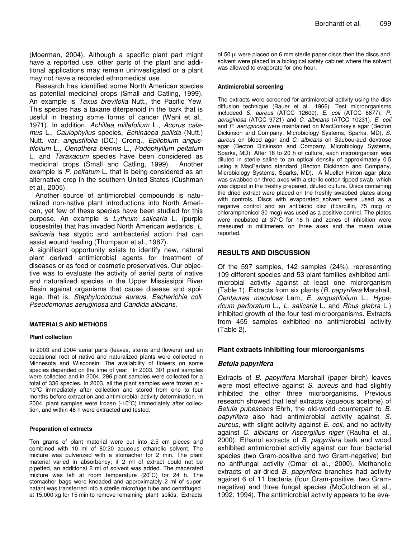(Moerman, 2004). Although a specific plant part might have a reported use, other parts of the plant and additional applications may remain uninvestigated or a plant may not have a recorded ethnomedical use.

Research has identified some North American species as potential medicinal crops (Small and Catling, 1999). An example is *Taxus brevifolia* Nutt., the Pacific Yew. This species has a taxane diterpenoid in the bark that is useful in treating some forms of cancer (Wani et al., 1971). In addition, *Achillea millefolium* L., *Acorus calamus* L., *Caulophyllus* species, *Echinacea pallida* (Nutt.) Nutt. var. *angustifolia* (DC.) Cronq., *Epilobium angustifolium* L., *Oenothera biennis* L., *Podophyllum peltatum* L, and *Taraxacum* species have been considered as medicinal crops (Small and Catling, 1999). Another example is *P. peltatum* L. that is being considered as an alternative crop in the southern United States (Cushman et al., 2005).

Another source of antimicrobial compounds is naturalized non-native plant introductions into North American, yet few of these species have been studied for this purpose. An example is *Lythrum salicaria* L. (purple loosestrife) that has invaded North American wetlands. *L. salicaria* has styptic and antibacterial action that can assist wound healing (Thompson et al., 1987).

A significant opportunity exists to identify new, natural plant derived antimicrobial agents for treatment of diseases or as food or cosmetic preservatives. Our objective was to evaluate the activity of aerial parts of native and naturalized species in the Upper Mississippi River Basin against organisms that cause disease and spoilage, that is, *Staphylococcus aureus*, *Escherichia coli*, *Pseudomonas aeruginosa* and *Candida albicans*.

#### **MATERIALS AND METHODS**

#### **Plant collection**

In 2003 and 2004 aerial parts (leaves, stems and flowers) and an occasional root of native and naturalized plants were collected in Minnesota and Wisconsin. The availability of flowers on some species depended on the time of year. In 2003, 301 plant samples were collected and in 2004, 296 plant samples were collected for a total of 336 species. In 2003, all the plant samples were frozen at - 10°C immediately after collection and stored from one to four months before extraction and antimicrobial activity determination. In 2004, plant samples were frozen (-10°C) immediately after collection, and within 48 h were extracted and tested.

#### **Preparation of extracts**

Ten grams of plant material were cut into 2.5 cm pieces and combined with 10 ml of 80:20 aqueous ethanolic solvent. The mixture was pulverized with a stomacher for 2 min. The plant material varied in absorbency; if 2 ml of extract could not be pipetted, an additional 2 ml of solvent was added. The macerated mixture was left at room temperature (20°C) for 24 h. The stomacher bags were kneaded and approximately 2 ml of supernatant was transferred into a sterile microfuge tube and centrifuged at 15,000 xg for 15 min to remove remaining plant solids. Extracts

of 50 µl were placed on 6 mm sterile paper discs then the discs and solvent were placed in a biological safety cabinet where the solvent was allowed to evaporate for one hour.

#### **Antimicrobial screening**

The extracts were screened for antimicrobial activity using the disk diffusion technique (Bauer et al., 1966). Test microorganisms includeed *S. aureus* (ATCC 12600), *E. coli* (ATCC 8677)*, P. aeruginosa* (ATCC 9721) and *C. albicans* (ATCC 10231). *E. coli* and *P. aeruginosa* were maintained on MacConkey's agar (Becton Dickinson and Company, Microbiology Systems, Sparks, MD)*, S. aureus* on blood agar and *C. albicans* on Saubouraud dextrose agar (Becton Dickinson and Company, Microbiology Systems, Sparks, MD). After 18 to 20 h of culture, each microorganism was diluted in sterile saline to an optical density of approximately 0.5 using a MacFarland standard (Becton Dickinson and Company, Microbiology Systems, Sparks, MD). A Mueller-Hinton agar plate was swabbed on three axes with a sterile cotton tipped swab, which was dipped in the freshly prepared, diluted culture. Discs containing the dried extract were placed on the freshly swabbed plates along with controls. Discs with evaporated solvent were used as a negative control and an antibiotic disc (ticarcillin, 75 mcg or chloramphenicol 30 mcg) was used as a positive control. The plates were incubated at 37°C for 18 h and zones of inhibition were measured in millimeters on three axes and the mean value reported.

#### **RESULTS AND DISCUSSION**

Of the 597 samples, 142 samples (24%), representing 109 different species and 53 plant families exhibited antimicrobial activity against at least one microrganism (Table 1). Extracts from six plants (*B. papyrifera* Marshall, *Centaurea maculosa* Lam, *E. angustifolium* L., *Hypericum perforatum* L., *L. salicaria* L. and *Rhus glabra* L.) inhibited growth of the four test microorganisms. Extracts from 455 samples exhibited no antimicrobial activity (Table 2).

#### **Plant extracts inhibiting four microorganisms**

#### *Betula papyrifera*

Extracts of *B. papyrifera* Marshall (paper birch) leaves were most effective against *S. aureus* and had slightly inhibited the other three microorganisms. Previous research showed that leaf extracts (aqueous acetone) of *Betula pubescens* Ehrh, the old-world counterpart to *B*. *papyrifera* also had antimicrobial activity against *S. aureus*, with slight activity against *E. coli,* and no activity against *C. albicans* or *Aspergillus niger* (Rauha et al., 2000). Ethanol extracts of *B. papyrifera* bark and wood exhibited antimicrobial activity against our four bacterial species (two Gram-positive and two Gram-negative) but no antifungal activity (Omar et al., 2000). Methanolic extracts of air-dried *B. papyrifera* branches had activity against 6 of 11 bacteria (four Gram-positive, two Gramnegative) and three fungal species (McCutcheon et al., 1992; 1994). The antimicrobial activity appears to be eva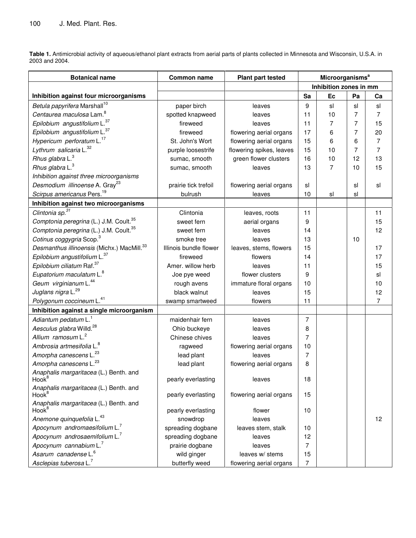**Table 1.** Antimicrobial activity of aqueous/ethanol plant extracts from aerial parts of plants collected in Minnesota and Wisconsin, U.S.A. in 2003 and 2004.

| <b>Botanical name</b>                                       | <b>Common name</b>     | <b>Plant part tested</b> | <b>Microorganisms<sup>a</sup></b> |    |                |    |
|-------------------------------------------------------------|------------------------|--------------------------|-----------------------------------|----|----------------|----|
|                                                             |                        |                          | Inhibition zones in mm            |    |                |    |
| Inhibition against four microorganisms                      |                        |                          | Sa                                | Ec | Pa             | Ca |
| Betula papyrifera Marshall <sup>10</sup>                    | paper birch            | leaves                   | 9                                 | sl | sl             | sl |
| Centaurea maculosa Lam. <sup>8</sup>                        | spotted knapweed       | leaves                   | 11                                | 10 | $\overline{7}$ | 7  |
| Epilobium angustifolium L. <sup>37</sup>                    | fireweed               | leaves                   | 11                                | 7  | 7              | 15 |
| Epilobium angustifolium L. <sup>37</sup>                    | fireweed               | flowering aerial organs  | 17                                | 6  | 7              | 20 |
| Hypericum perforatum L. <sup>17</sup>                       | St. John's Wort        | flowering aerial organs  | 15                                | 6  | 6              | 7  |
| Lythrum salicaria L. <sup>32</sup>                          | purple loosestrife     | flowering spikes, leaves | 15                                | 10 | 7              | 7  |
| Rhus glabra L. <sup>3</sup>                                 | sumac, smooth          | green flower clusters    | 16                                | 10 | 12             | 13 |
| Rhus glabra L. <sup>3</sup>                                 | sumac, smooth          | leaves                   | 13                                | 7  | 10             | 15 |
| Inhibition against three microorganisms                     |                        |                          |                                   |    |                |    |
| Desmodium illinoense A. Gray <sup>23</sup>                  | prairie tick trefoil   | flowering aerial organs  | sl                                |    | sl             | sl |
| Scirpus americanus Pers. <sup>19</sup>                      | bulrush                | leaves                   | 10                                | sl | sl             |    |
| Inhibition against two microorganisms                       |                        |                          |                                   |    |                |    |
| Clintonia sp. <sup>31</sup>                                 | Clintonia              | leaves, roots            | 11                                |    |                | 11 |
| Comptonia peregrina (L.) J.M. Coult. <sup>35</sup>          | sweet fern             | aerial organs            | 9                                 |    |                | 15 |
| Comptonia peregrina (L.) J.M. Coult. <sup>35</sup>          | sweet fern             | leaves                   | 14                                |    |                | 12 |
| Cotinus coggygria Scop. <sup>3</sup>                        | smoke tree             | leaves                   | 13                                |    | 10             |    |
| Desmanthus illinoensis (Michx.) MacMill. <sup>33</sup>      | Illinois bundle flower | leaves, stems, flowers   | 15                                |    |                | 17 |
| Epilobium angustifolium L. <sup>37</sup>                    | fireweed               | flowers                  | 14                                |    |                | 17 |
| Epilobium ciliatum Raf. <sup>37</sup>                       | Amer. willow herb      | leaves                   | 11                                |    |                | 15 |
| Eupatorium maculatum L. <sup>8</sup>                        | Joe pye weed           | flower clusters          | 9                                 |    |                | sl |
| Geum virginianum L. <sup>44</sup>                           | rough avens            | immature floral organs   | 10                                |    |                | 10 |
| Juglans nigra L. <sup>29</sup>                              | black walnut           | leaves                   | 15                                |    |                | 12 |
| Polygonum coccineum L. <sup>41</sup>                        | swamp smartweed        | flowers                  | 11                                |    |                | 7  |
| Inhibition against a single microorganism                   |                        |                          |                                   |    |                |    |
| Adiantum pedatum L. <sup>1</sup>                            | maidenhair fern        | leaves                   | 7                                 |    |                |    |
| Aesculus glabra Willd. <sup>28</sup>                        | Ohio buckeye           | leaves                   | 8                                 |    |                |    |
| Allium ramosum L. <sup>2</sup>                              | Chinese chives         | leaves                   | 7                                 |    |                |    |
| Ambrosia artmesifolia L. <sup>8</sup>                       | ragweed                | flowering aerial organs  | 10                                |    |                |    |
| Amorpha canescens L. <sup>23</sup>                          | lead plant             | leaves                   | 7                                 |    |                |    |
| Amorpha canescens L. <sup>23</sup>                          | lead plant             | flowering aerial organs  | 8                                 |    |                |    |
| Anaphalis margaritacea (L.) Benth. and<br>Hook <sup>8</sup> | pearly everlasting     | leaves                   | 18                                |    |                |    |
| Anaphalis margaritacea (L.) Benth. and<br>Hook <sup>8</sup> | pearly everlasting     | flowering aerial organs  | 15                                |    |                |    |
| Anaphalis margaritacea (L.) Benth. and<br>Hook <sup>8</sup> | pearly everlasting     | flower                   | 10                                |    |                |    |
| Anemone quinquefolia L. <sup>43</sup>                       | snowdrop               | leaves                   |                                   |    |                | 12 |
| Apocynum andromaesifolium L.                                | spreading dogbane      | leaves stem, stalk       | 10                                |    |                |    |
| Apocynum androsaemifolium L.                                | spreading dogbane      | leaves                   | 12                                |    |                |    |
| Apocynum cannabium $L^7$                                    | prairie dogbane        | leaves                   | 7                                 |    |                |    |
| Asarum canadense L. <sup>6</sup>                            | wild ginger            | leaves w/ stems          | 15                                |    |                |    |
| Asclepias tuberosa L. <sup>7</sup>                          | butterfly weed         | flowering aerial organs  | 7                                 |    |                |    |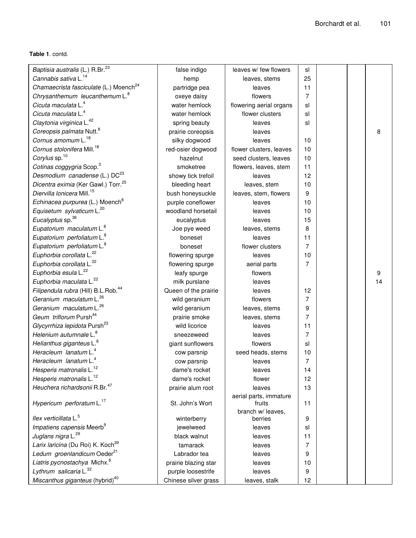**Table 1**. contd.

| Baptisia australis (L.) R.Br. <sup>23</sup>        | false indigo            | leaves w/ few flowers            | sl             |  |    |
|----------------------------------------------------|-------------------------|----------------------------------|----------------|--|----|
| Cannabis sativa L. <sup>14</sup>                   | hemp                    | leaves, stems                    | 25             |  |    |
| Chamaecrista fasciculate (L.) Moench <sup>24</sup> | partridge pea           | leaves                           | 11             |  |    |
| Chrysanthemum leucanthemum L. <sup>8</sup>         | oxeye daisy             | flowers                          | 7              |  |    |
| Cicuta maculata L. <sup>4</sup>                    | water hemlock           | flowering aerial organs          | sl             |  |    |
| Cicuta maculata L. <sup>4</sup>                    | water hemlock           | flower clusters                  | sl             |  |    |
| Claytonia virginica L. <sup>42</sup>               | spring beauty           | leaves                           | sl             |  |    |
| Coreopsis palmata Nutt. <sup>8</sup>               | prairie coreopsis       | leaves                           |                |  | 8  |
| Cornus amomum L. <sup>18</sup>                     | silky dogwood           | leaves                           | 10             |  |    |
| Cornus stolonifera Mill. <sup>18</sup>             | red-osier dogwood       | flower clusters, leaves          | 10             |  |    |
| Corylus sp. <sup>10</sup>                          | hazelnut                | seed clusters, leaves            | 10             |  |    |
| Cotinas coggygria Scop. <sup>3</sup>               | smoketree               | flowers, leaves, stem            | 11             |  |    |
| Desmodium canadense (L.) DC <sup>23</sup>          | showy tick trefoil      | leaves                           | 12             |  |    |
| Dicentra eximia (Ker Gawl.) Torr. <sup>25</sup>    | bleeding heart          | leaves, stem                     | 10             |  |    |
| Diervilla lonicera Mill. <sup>15</sup>             | bush honeysuckle        | leaves, stem, flowers            | 9              |  |    |
| Echinacea purpurea (L.) Moench <sup>8</sup>        | purple coneflower       | leaves                           | 10             |  |    |
| Equisetum sylvaticum L. <sup>20</sup>              | woodland horsetail      | leaves                           | 10             |  |    |
| Eucalyptus sp. <sup>36</sup>                       | eucalyptus              | leaves                           | 15             |  |    |
| Eupatorium maculatum L. <sup>8</sup>               |                         | leaves, stems                    | 8              |  |    |
| Eupatorium perfoliatum L. <sup>8</sup>             | Joe pye weed<br>boneset | leaves                           | 11             |  |    |
|                                                    |                         | flower clusters                  | 7              |  |    |
| Eupatorium perfoliatum L. <sup>8</sup>             | boneset                 | leaves                           |                |  |    |
| Euphorbia corollata L. <sup>22</sup>               | flowering spurge        |                                  | 10<br>7        |  |    |
| Euphorbia corollata L. <sup>22</sup>               | flowering spurge        | aerial parts                     |                |  |    |
| Euphorbia esula L. <sup>22</sup>                   | leafy spurge            | flowers                          |                |  | 9  |
| Euphorbia maculata L. <sup>22</sup>                | milk purslane           | leaves                           |                |  | 14 |
| Filipendula rubra (Hill) B.L.Rob. <sup>44</sup>    | Queen of the prairie    | leaves                           | 12             |  |    |
| Geranium maculatum L. <sup>26</sup>                | wild geranium           | flowers                          | 7              |  |    |
| Geranium maculatum L. <sup>26</sup>                | wild geranium           | leaves, stems                    | 9              |  |    |
| Geum triflorum Pursh <sup>44</sup>                 | prairie smoke           | leaves, stems                    | 7              |  |    |
| Glycyrrhiza lepidota Pursh <sup>23</sup>           | wild licorice           | leaves                           | 11             |  |    |
| Helenium autumnale L. <sup>8</sup>                 | sneezeweed              | leaves                           | $\overline{7}$ |  |    |
| Helianthus giganteus L. <sup>8</sup>               | giant sunflowers        | flowers                          | sl             |  |    |
| Heracleum lanatum L. <sup>4</sup>                  | cow parsnip             | seed heads, stems                | 10             |  |    |
| Heracleum lanatum L. <sup>4</sup>                  | cow parsnip             | leaves                           | 7              |  |    |
| Hesperis matronalis L. <sup>12</sup>               | dame's rocket           | leaves                           | 14             |  |    |
| Hesperis matronalis L. <sup>12</sup>               | dame's rocket           | flower                           | 12             |  |    |
| Heuchera richardsonii R.Br. <sup>47</sup>          | prairie alum root       | leaves                           | 13             |  |    |
| Hypericum perforatum L. <sup>17</sup>              | St. John's Wort         | aerial parts, immature<br>fruits | 11             |  |    |
|                                                    |                         | branch w/ leaves,                |                |  |    |
| llex verticillata L. <sup>5</sup>                  | winterberry             | berries                          | 9              |  |    |
| Impatiens capensis Meerb <sup>9</sup>              | jewelweed               | leaves                           | sl             |  |    |
| Juglans nigra L. <sup>29</sup>                     | black walnut            | leaves                           | 11             |  |    |
| Larix laricina (Du Roi) K. Koch <sup>39</sup>      | tamarack                | leaves                           | 7              |  |    |
| Ledum groenlandicum Oeder <sup>21</sup>            | Labrador tea            | leaves                           | 9              |  |    |
| Liatris pycnostachya Michx. <sup>8</sup>           | prairie blazing star    | leaves                           | 10             |  |    |
| Lythrum salicaria L. <sup>32</sup>                 | purple loosestrife      | leaves                           | 9              |  |    |
| Miscanthus giganteus (hybrid) <sup>40</sup>        | Chinese silver grass    | leaves, stalk                    | 12             |  |    |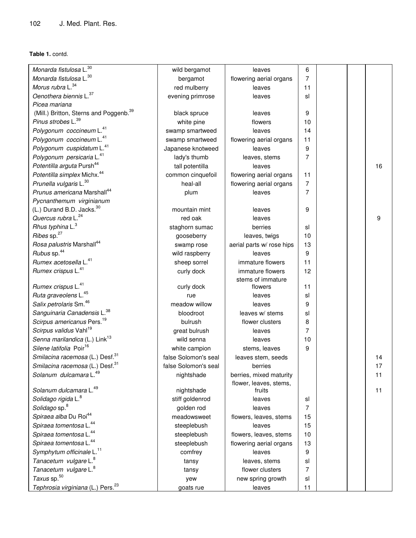**Table 1.** contd.

| Monarda fistulosa L.30                             | wild bergamot        | leaves                           | 6              |  |    |
|----------------------------------------------------|----------------------|----------------------------------|----------------|--|----|
| Monarda fistulosa L. <sup>30</sup>                 | bergamot             | flowering aerial organs          | 7              |  |    |
| Morus rubra L. <sup>34</sup>                       | red mulberry         | leaves                           | 11             |  |    |
| Oenothera biennis L. <sup>37</sup>                 | evening primrose     | leaves                           | sl             |  |    |
| Picea mariana                                      |                      |                                  |                |  |    |
| (Mill.) Britton, Sterns and Poggenb. <sup>39</sup> | black spruce         | leaves                           | 9              |  |    |
| Pinus strobes L. <sup>39</sup>                     | white pine           | flowers                          | 10             |  |    |
| Polygonum coccineum L. <sup>41</sup>               | swamp smartweed      | leaves                           | 14             |  |    |
| Polygonum coccineum L. <sup>41</sup>               | swamp smartweed      | flowering aerial organs          | 11             |  |    |
| Polygonum cuspidatum L. <sup>41</sup>              | Japanese knotweed    | leaves                           | 9              |  |    |
| Polygonum persicaria L. <sup>41</sup>              | lady's thumb         | leaves, stems                    | 7              |  |    |
| Potentilla arguta Pursh <sup>44</sup>              | tall potentilla      | leaves                           |                |  | 16 |
| Potentilla simplex Michx. <sup>44</sup>            | common cinquefoil    | flowering aerial organs          | 11             |  |    |
| Prunella vulgaris L. <sup>30</sup>                 | heal-all             | flowering aerial organs          | 7              |  |    |
| Prunus americana Marshall <sup>44</sup>            | plum                 | leaves                           | 7              |  |    |
| Pycnanthemum virginianum                           |                      |                                  |                |  |    |
| (L.) Durand B.D. Jacks. <sup>30</sup>              | mountain mint        | leaves                           | 9              |  |    |
| Quercus rubra L. <sup>24</sup>                     | red oak              | leaves                           |                |  | 9  |
| Rhus typhina L. <sup>3</sup>                       | staghorn sumac       | berries                          | sl             |  |    |
| Ribes sp. <sup>27</sup>                            | gooseberry           | leaves, twigs                    | 10             |  |    |
| Rosa palustris Marshall <sup>44</sup>              | swamp rose           | aerial parts w/ rose hips        | 13             |  |    |
| Rubus sp. <sup>44</sup>                            | wild raspberry       | leaves                           | 9              |  |    |
| Rumex acetosella L. <sup>41</sup>                  | sheep sorrel         | immature flowers                 | 11             |  |    |
| Rumex crispus L. <sup>41</sup>                     | curly dock           | immature flowers                 | 12             |  |    |
|                                                    |                      | stems of immature                |                |  |    |
| Rumex crispus L. <sup>41</sup>                     | curly dock           | flowers                          | 11             |  |    |
| Ruta graveolens L. <sup>45</sup>                   | rue                  | leaves                           | sl             |  |    |
| Salix petrolaris Sm. <sup>46</sup>                 | meadow willow        | leaves                           | 9              |  |    |
| Sanguinaria Canadensis L. <sup>38</sup>            | bloodroot            | leaves w/ stems                  | sl             |  |    |
| Scirpus americanus Pers. <sup>19</sup>             | bulrush              | flower clusters                  | 8              |  |    |
| Scirpus validus Vahl <sup>19</sup>                 | great bulrush        | leaves                           | 7              |  |    |
| Senna marilandica (L.) Link <sup>13</sup>          | wild senna           | leaves                           | 10             |  |    |
| Silene latifolia Poir <sup>16</sup>                | white campion        | stems, leaves                    | 9              |  |    |
| Smilacina racemosa (L.) Desf. <sup>31</sup>        | false Solomon's seal | leaves stem, seeds               |                |  | 14 |
| Smilacina racemosa (L.) Desf. <sup>31</sup>        | false Solomon's seal | berries                          |                |  | 17 |
| Solanum dulcamara L. <sup>49</sup>                 | nightshade           | berries, mixed maturity          |                |  | 11 |
| Solanum dulcamara L. <sup>49</sup>                 | nightshade           | flower, leaves, stems,<br>fruits |                |  | 11 |
| Solidago rigida L. <sup>8</sup>                    | stiff goldenrod      | leaves                           | sl             |  |    |
| Solidago sp. <sup>8</sup>                          | golden rod           | leaves                           | $\overline{7}$ |  |    |
| Spiraea alba Du Roi <sup>44</sup>                  | meadowsweet          | flowers, leaves, stems           | 15             |  |    |
| Spiraea tomentosa L. <sup>44</sup>                 | steeplebush          | leaves                           | 15             |  |    |
| Spiraea tomentosa L. <sup>44</sup>                 | steeplebush          | flowers, leaves, stems           | 10             |  |    |
| Spiraea tomentosa L. <sup>44</sup>                 | steeplebush          | flowering aerial organs          | 13             |  |    |
| Symphytum officinale L. <sup>11</sup>              | comfrey              | leaves                           | 9              |  |    |
| Tanacetum vulgare L. <sup>8</sup>                  |                      |                                  | sl             |  |    |
| Tanacetum vulgare L. <sup>8</sup>                  | tansy                | leaves, stems<br>flower clusters | 7              |  |    |
| Taxus sp. <sup>50</sup>                            | tansy                |                                  | sl             |  |    |
| Tephrosia virginiana (L.) Pers. <sup>23</sup>      | yew                  | new spring growth                |                |  |    |
|                                                    | goats rue            | leaves                           | 11             |  |    |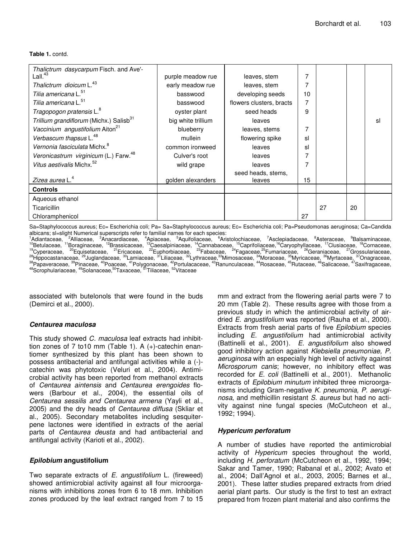**Table 1.** contd.

| Thalictrum dasycarpum Fisch. and Ave'-              |                    |                          |    |    |    |    |
|-----------------------------------------------------|--------------------|--------------------------|----|----|----|----|
| Lall. $43$                                          | purple meadow rue  | leaves, stem             |    |    |    |    |
| Thalictrum dioicum L. <sup>43</sup>                 | early meadow rue   | leaves, stem             |    |    |    |    |
| Tilia americana L. <sup>51</sup>                    | basswood           | developing seeds         | 10 |    |    |    |
| Tilia americana L. <sup>51</sup>                    | basswood           | flowers clusters, bracts |    |    |    |    |
| Tragopogon pratensis L. <sup>8</sup>                | oyster plant       | seed heads               | 9  |    |    |    |
| Trillium grandiflorum (Michx.) Salisb <sup>31</sup> | big white trillium | leaves                   |    |    |    | sl |
| Vaccinium angustifolium Aiton <sup>21</sup>         | blueberry          | leaves, stems            |    |    |    |    |
| Verbascum thapsus L. <sup>48</sup>                  | mullein            | flowering spike          | sl |    |    |    |
| Vernonia fasciculata Michx. <sup>8</sup>            | common ironweed    | leaves                   | sl |    |    |    |
| Veronicastrum virginicum (L.) Farw. <sup>48</sup>   | Culver's root      | leaves                   |    |    |    |    |
| Vitus aestivalis Michx. <sup>52</sup>               | wild grape         | leaves                   |    |    |    |    |
|                                                     |                    | seed heads, stems,       |    |    |    |    |
| Zizea aurea L. <sup>4</sup>                         | golden alexanders  | leaves                   | 15 |    |    |    |
| <b>Controls</b>                                     |                    |                          |    |    |    |    |
| Aqueous ethanol                                     |                    |                          |    |    |    |    |
| <b>Ticaricillin</b>                                 |                    |                          |    | 27 | 20 |    |
| Chloramphenicol                                     |                    |                          | 27 |    |    |    |

Sa=Staphylococcus aureus; Ec= Escherichia coli; Pa= Sa=Staphylococcus aureus; Ec= Escherichia coli; Pa=Pseudomonas aeruginosa; Ca=Candida albicans; sl=slight Numerical superscripts refer to familial names for each species:

<sup>1</sup>Adiantaceae, <sup>2</sup>Alliaceae, <sup>3</sup>Anacardiaceae, <sup>4</sup>Apiaceae, <sup>5</sup>Aquifoliaceae, <sup>6</sup>Aristolochiaceae, <sup>7</sup>Asclepiadaceae, <sup>8</sup>Asteraceae, <sup>9</sup>Balsaminaceae, <sup>10</sup>Betulaceae, <sup>11</sup>Boraginaceae, <sup>12</sup>Brassicaceae, <sup>13</sup>Caesalpiniaceae, <sup>14</sup>Cannabaceae, <sup>15</sup>Caprifoliaceae, <sup>46</sup>Caryophyllaceae, <sup>17</sup>Clusiaceae, <sup>18</sup>Cornaceae, <sup>19</sup>Cyperaceae, <sup>20</sup>Equisetaceae, <sup>21</sup>Ericaceae, <sup>22</sup>Euphorbiaceae, <sup>23</sup>Fabaceae, <sup>24</sup>Fagaceae,<sup>25</sup>Fumariaceae, <sup>28</sup>Geraniaceae, <sup>27</sup>Grossulariaceae, <sup>28</sup>Hippocastanaceae, <sup>29</sup>Juglandaceae, <sup>30</sup>Lamiaceae, <sup>31</sup>Liliaceae, <sup>32</sup>Lythraceae,<sup>33</sup>Mimosaceae, <sup>34</sup>Moraceae, <sup>35</sup>Myricaceae, <sup>36</sup>Myrtaceae<u>, 37</u>Onagraceae, <sup>38</sup>Papaveraceae, <sup>39</sup>Pinaceae, <sup>40</sup>Poaceae, <sup>41</sup>Polygonaceae, <sup>42</sup>Portulacaceae, <sup>43</sup>Ranunculaceae, <sup>44</sup>Rosaceae, <sup>45</sup>Rutaceae, <sup>46</sup>Salicaceae, <sup>47</sup>Saxifragaceae, <sup>48</sup>Scrophulariaceae, <sup>49</sup>Solanaceae, <sup>50</sup>Taxaceae, <sup>51</sup>Tiliaceae, <sup>52</sup>Vitaceae

associated with butelonols that were found in the buds (Demirci et al., 2000).

## *Centaurea maculosa*

This study showed *C. maculosa* leaf extracts had inhibittion zones of 7 to10 mm (Table 1). A (+)-catechin enantiomer synthesized by this plant has been shown to possess antibacterial and antifungal activities while a (-) catechin was phytotoxic (Veluri et al., 2004). Antimicrobial activity has been reported from methanol extracts of *Centaurea aintensis* and *Centaurea erengoides* flowers (Barbour et al., 2004), the essential oils of *Centaurea sessilis and Centaurea armena* (Yayli et al., 2005) and the dry heads of *Centaurea diffusa* (Skliar et al., 2005). Secondary metabolites including sesquiterpene lactones were identified in extracts of the aerial parts of *Centaurea deusta* and had antibacterial and antifungal activity (Karioti et al., 2002).

## *Epilobium* **angustifolium**

Two separate extracts of *E. angustifolium* L. (fireweed) showed antimicrobial activity against all four microorganisms with inhibitions zones from 6 to 18 mm. Inhibition zones produced by the leaf extract ranged from 7 to 15 mm and extract from the flowering aerial parts were 7 to 20 mm (Table 2). These results agree with those from a previous study in which the antimicrobial activity of airdried *E. angustifolium* was reported (Rauha et al., 2000). Extracts from fresh aerial parts of five *Epilobium* species including *E. angustifolium* had antimicrobial activity (Battinelli et al., 2001). *E. angustifolium* also showed good inhibitory action against *Klebsiella pneumoniae, P. aeruginosa* with an especially high level of activity against *Microsporum canis*; however, no inhibitory effect was recorded for *E. coli* (Battinelli et al., 2001). Methanolic extracts of *Epilobium minutum* inhibited three microorganisms including Gram-negative *K. pneumonia, P. aeruginosa*, and methicillin resistant *S. aureus* but had no activity against nine fungal species (McCutcheon et al., 1992; 1994).

## *Hypericum perforatum*

A number of studies have reported the antimicrobial activity of *Hypericum* species throughout the world, including *H. perforatum* (McCutcheon et al., 1992, 1994; Sakar and Tamer, 1990; Rabanal et al., 2002; Avato et al., 2004; Dall'Agnol et al., 2003, 2005; Barnes et al., 2001). These latter studies prepared extracts from dried aerial plant parts. Our study is the first to test an extract prepared from frozen plant material and also confirms the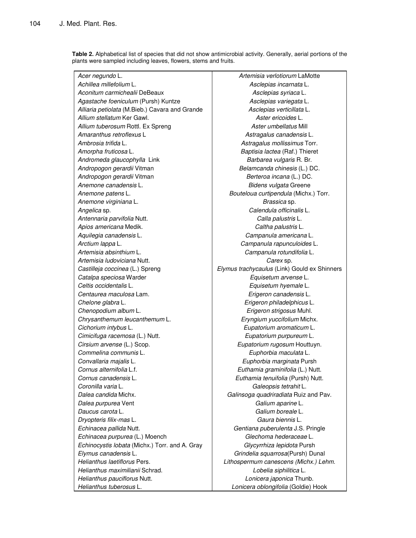**Table 2.** Alphabetical list of species that did not show antimicrobial activity. Generally, aerial portions of the plants were sampled including leaves, flowers, stems and fruits.

*Acer negundo* L. *Artemisia verlotiorum* LaMotte *Achillea millefolium* L. *Asclepias incarnata* L. *Aconitum carmichealii* DeBeaux *Asclepias syriaca* L. *Agastache foeniculum* (Pursh) Kuntze *Asclepias variegata* L. *Alliaria petiolata* (M.Bieb.) Cavara and Grande *Asclepias verticillata* L. *Allium stellatum* Ker Gawl. *Aster ericoides* L. *Allium tuberosum* Rottl. Ex Spreng *Aster umbellatus* Mill *Amaranthus retroflexus* L *Astragalus canadensis* L. *Ambrosia trifida* L. *Astragalus mollissimus* Torr. *Amorpha fruticosa* L. *Baptisia lactea* (Raf.) Thieret Andromeda glaucophylla Link **Barbarea** vulgaris R. Br. *Andropogon gerardii* Vitman *Belamcanda chinesis* (L.) DC. *Andropogon gerardii* Vitman *Berteroa incana* (L.) DC. *Anemone canadensis* L. *Bidens vulgata* Greene *Anemone patens* L. *Bouteloua curtipendula* (Michx.) Torr. *Anemone virginiana* L. *Brassica* sp. *Angelica* sp. *Calendula officinalis* L. *Antennaria parvifolia* Nutt. *Calla palustris* L. *Apios americana* Medik. *Caltha palustris* L. *Aquilegia canadensis* L. *Campanula americana* L. *Arctium lappa* L. *Campanula rapunculoides* L. *Artemisia absinthium* L. *Campanula rotundifolia* L. *Artemisia ludoviciana* Nutt. *Carex* sp. *Castilleja coccinea* (L.) Spreng *Elymus trachycaulus* (Link) Gould ex Shinners *Catalpa speciosa* Warder *Equisetum arvense* L. *Celtis occidentalis* L. *Equisetum hyemale* L. *Centaurea maculosa* Lam. *Erigeron canadensis* L. *Chelone glabra* L. *Erigeron philadelphicus* L. *Chenopodium album* L. *Erigeron strigosus* Muhl. *Chrysanthemum leucanthemum* L. *Eryngium yuccifolium* Michx. *Cichorium intybus* L. *Eupatorium aromaticum* L. *Cimicifuga racemosa* (L.) Nutt. *Eupatorium purpureum* L. *Cirsium arvense* (L.) Scop. *Eupatorium rugosum* Houttuyn. *Commelina communis* L. *Euphorbia maculata* L. *Convallaria majalis* L. *Euphorbia marginata* Pursh *Cornus alternifolia* L.f. *Euthamia graminifolia* (L.) Nutt. *Cornus canadensis* L. *Euthamia tenuifolia* (Pursh) Nutt. *Coronilla varia* L. *Galeopsis tetrahit* L. *Dalea candida* Michx. *Galinsoga quadriradiata* Ruiz and Pav. *Dalea purpurea* Vent *Galium aparine* L. *Daucus carota* L. *Galium boreale* L. *Dryopteris filix-mas* L. *Gaura biennis* L. *Echinacea pallida* Nutt. *Gentiana puberulenta* J.S. Pringle *Echinacea purpurea* (L.) Moench *Glechoma hederaceae* L. *Echinocystis lobata* (Michx.) Torr. and A. Gray *Glycyrrhiza lepidota* Pursh *Elymus canadensis* L. *Grindelia squarrosa*(Pursh) Dunal *Helianthus laetiflorus* Pers. *Lithospermum canescens (Michx.) Lehm. Helianthus maximilianii* Schrad. *Lobelia siphilitica* L. *Helianthus pauciflorus* Nutt. *Lonicera japonica* Thunb. *Helianthus tuberosus* L. *Lonicera oblongifolia* (Goldie) Hook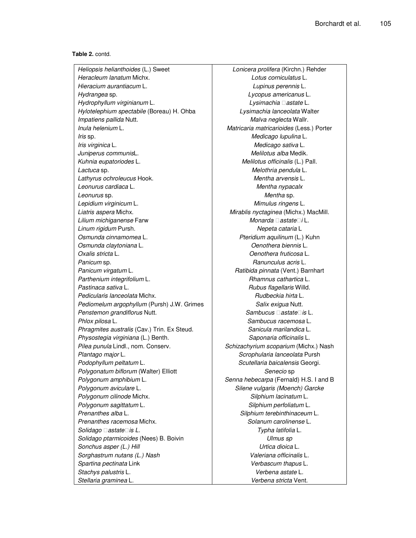#### **Table 2.** contd.

*Heliopsis helianthoides* (L.) Sweet *Lonicera prolifera* (Kirchn.) Rehder *Heracleum lanatum* Michx. *Lotus corniculatus* L. *Hieracium aurantiacum* L. *Lupinus perennis* L. *Hydrangea* sp. *Lycopus americanus* L. *Hydrophyllum virginianum* L. *Lysimachia astate* L. *Hylotelephium spectabile* (Boreau) H. Ohba *Lysimachia lanceolata* Walter *Impatiens pallida* Nutt. *Malva neglecta* Wallr. *Inula helenium* L. *Matricaria matricarioides* (Less.) Porter *Iris* sp. *Medicago lupulina* L. *Iris virginica* L. *Medicago sativa* L. *Juniperus communis*L. *Melilotus alba* Medik. *Kuhnia eupatoriodes* L. *Melilotus officinalis* (L.) Pall. *Lactuca* sp. *Melothria pendula* L. *Lathyrus ochroleucus* Hook. *Mentha arvensis* L. *Leonurus cardiaca* L. *Mentha nypacalx Leonurus* sp. *Mentha* sp. *Lepidium virginicum* L. *Mimulus ringens* L. *Liatris aspera* Michx. *Mirablis nyctaginea* (Michx.) MacMill. *Lilium michiganense* Farw *Monarda astatei* L. *Linum rigidum* Pursh. *Nepeta cataria* L *Osmunda cinnamomea* L. *Pteridium aquilinum* (L.) Kuhn *Osmunda claytoniana* L. *Oenothera biennis* L. *Oxalis stricta* L. *Oenothera fruticosa* L. *Panicum* sp. *Ranunculus acris* L. *Panicum virgatum* L. *Ratibida pinnata* (Vent.) Barnhart *Parthenium integrifolium* L. *Rhamnus cathartica* L. *Pastinaca sativa* L. *Rubus flagellaris* Willd. *Pedicularis lanceolata* Michx. *Rudbeckia hirta* L. *Pediomelum argophyllum* (Pursh) J.W. Grimes **Franch** *Salix exigua* Nutt. *Penstemon grandiflorus* Nutt. *Sambucus astateis* L. *Phlox pilosa* L. *Sambucus racemosa* L. *Phragmites australis* (Cav.) Trin. Ex Steud. *Sanicula marilandica* L. *Physostegia virginiana* (L.) Benth. *Saponaria officinalis* L. *Pilea punula* Lindl., nom. Conserv. *Schizachyrium scoparium* (Michx.) Nash *Plantago major* L. *Scrophularia lanceolata* Pursh *Podophyllum peltatum* L. *Scutellaria baicalensis* Georgi. *Polygonatum biflorum* (Walter) Elliott *Senecio* sp *Polygonum amphibium* L. *Senna hebecarpa* (Fernald) H.S. I and B *Polygonum aviculare* L. *Silene vulgaris (Moench) Garcke Polygonum cilinode* Michx. *Silphium lacinatum* L. *Polygonum sagittatum* L. *Silphium perfoliatum* L. *Prenanthes alba* L. *Silphium terebinthinaceum* L. *Prenanthes racemosa* Michx. *Solanum carolinense* L. *Solidago astateis L. Typha latifolia* L. *Solidago ptarmicoides* (Nees) B. Boivin *Ulmus sp Sonchus asper (L.) Hill Urtica dioica* L. *Sorghastrum nutans (L.) Nash Valeriana officinalis* L. *Spartina pectinata* Link *Verbascum thapus* L. *Stachys palustris* L. *Verbena astate* L.

*Stellaria graminea* L. *Verbena stricta* Vent.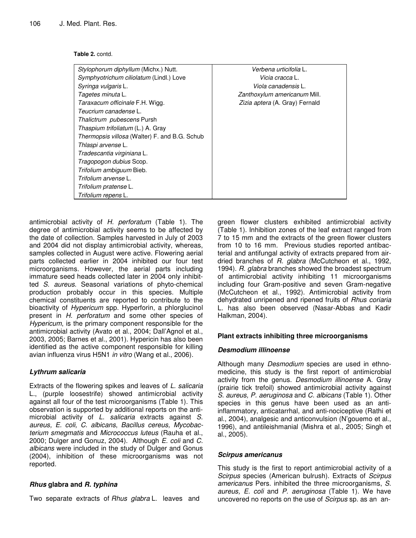#### **Table 2.** contd.

| Stylophorum diphyllum (Michx.) Nutt.          | <i>Verbena urticifolia</i> L.  |
|-----------------------------------------------|--------------------------------|
| Symphyotrichum ciliolatum (Lindl.) Love       | <i>Vicia cracca</i> L.         |
| Syringa vulgaris L.                           | <i>Viola canadensis</i> L.     |
| Tagetes minuta L.                             | Zanthoxylum americanum Mill.   |
| Taraxacum officinale F.H. Wigg.               | Zizia aptera (A. Gray) Fernald |
| Teucrium canadense L.                         |                                |
| Thalictrum pubescens Pursh                    |                                |
| Thaspium trifoliatum (L.) A. Gray             |                                |
| Thermopsis villosa (Walter) F. and B.G. Schub |                                |
| Thlaspi arvense L.                            |                                |
| Tradescantia virginiana L.                    |                                |
| Tragopogon dubius Scop.                       |                                |
| Trifolium ambiguum Bieb.                      |                                |
| Trifolium arvense L.                          |                                |
| Trifolium pratense L.                         |                                |
| Trifolium repens L.                           |                                |
|                                               |                                |

antimicrobial activity of *H. perforatum* (Table 1). The degree of antimicrobial activity seems to be affected by the date of collection. Samples harvested in July of 2003 and 2004 did not display antimicrobial activity, whereas, samples collected in August were active. Flowering aerial parts collected earlier in 2004 inhibited our four test microorganisms. However, the aerial parts including immature seed heads collected later in 2004 only inhibitted *S. aureus*. Seasonal variations of phyto-chemical production probably occur in this species. Multiple chemical constituents are reported to contribute to the bioactivity of *Hypericum* spp. Hyperforin, a phlorglucinol present in *H. perforatum* and some other species of *Hypericum*, is the primary component responsible for the antimicrobial activity (Avato et al., 2004; Dall'Agnol et al., 2003, 2005; Barnes et al., 2001). Hypericin has also been identified as the active component responsible for killing avian influenza virus H5N1 *in vitro* (Wang et al., 2006).

## *Lythrum salicaria*

Extracts of the flowering spikes and leaves of *L. salicaria* L., (purple loosestrife) showed antimicrobial activity against all four of the test microorganisms (Table 1). This observation is supported by additional reports on the antimicrobial activity of *L. salicaria* extracts against *S. aureus, E. coli, C. albicans*, *Bacillus cereus, Mycobacterium smegmatis* and *Micrococcus luteus* (Rauha et al., 2000; Dulger and Gonuz, 2004). Although *E. coli* and *C. albicans* were included in the study of Dulger and Gonus (2004), inhibition of these microorganisms was not reported.

# *Rhus* **glabra and** *R. typhina*

Two separate extracts of *Rhus glabra* L. leaves and

green flower clusters exhibited antimicrobial activity (Table 1). Inhibition zones of the leaf extract ranged from 7 to 15 mm and the extracts of the green flower clusters from 10 to 16 mm. Previous studies reported antibacterial and antifungal activity of extracts prepared from airdried branches of *R. glabra* (McCutcheon et al., 1992, 1994). *R. glabra* branches showed the broadest spectrum of antimicrobial activity inhibiting 11 microorganisms including four Gram-positive and seven Gram-negative (McCutcheon et al., 1992). Antimicrobial activity from dehydrated unripened and ripened fruits of *Rhus coriaria* L. has also been observed (Nasar-Abbas and Kadir Halkman, 2004).

## **Plant extracts inhibiting three microorganisms**

## *Desmodium illinoense*

Although many *Desmodium* species are used in ethnomedicine, this study is the first report of antimicrobial activity from the genus. *Desmodium illinoense* A. Gray (prairie tick trefoil) showed antimicrobial activity against *S. aureus, P. aeruginosa* and *C. albicans* (Table 1). Other species in this genus have been used as an antiinflammatory, anticatarrhal, and anti-nociceptive (Rathi et al., 2004), analgesic and anticonvulsion (N'gouemo et al., 1996), and antileishmanial (Mishra et al., 2005; Singh et al., 2005).

## *Scirpus americanus*

This study is the first to report antimicrobial activity of a *Scirpus* species (American bulrush). Extracts of *Scirpus americanus* Pers. inhibited the three microorganisms, *S. aureus, E. coli* and *P. aeruginosa* (Table 1). We have uncovered no reports on the use of *Scirpus* sp. as an an-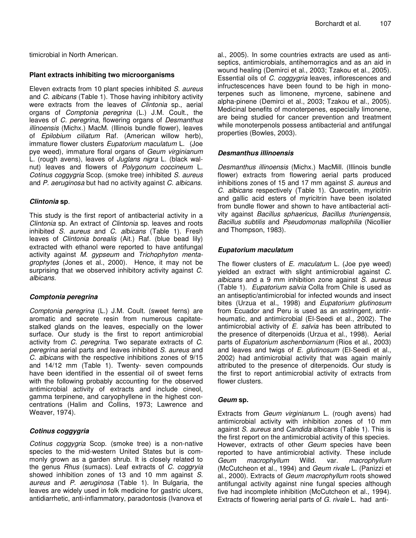#### **Plant extracts inhibiting two microorganisms**

Eleven extracts from 10 plant species inhibited *S. aureus* and *C. albicans* (Table 1). Those having inhibitory activity were extracts from the leaves of *Clintonia* sp., aerial organs of *Comptonia peregrina* (L.) J.M. Coult., the leaves of *C. peregrina*, flowering organs of *Desmanthus illinoensis* (Michx.) MacM. (Illinois bundle flower), leaves of *Epilobium ciliatum* Raf. (American willow herb), immature flower clusters *Eupatorium maculatum* L. (Joe pye weed), immature floral organs of *Geum virginianum* L. (rough avens), leaves of *Juglans nigra* L. (black walnut) leaves and flowers of *Polygonum coccineum* L. *Cotinus coggygria* Scop. (smoke tree) inhibited *S. aureus* and *P. aeruginosa* but had no activity against *C. albicans*.

## *Clintonia* **sp**.

This study is the first report of antibacterial activity in a *Clintonia* sp. An extract of *Clintonia* sp. leaves and roots inhibited *S. aureus* and *C. albicans* (Table 1). Fresh leaves of *Clintonia borealis* (Ait.) Raf. (blue bead lily) extracted with ethanol were reported to have antifungal activity against *M. gypseum* and *Trichophyton mentagrophytes* (Jones et al., 2000). Hence, it may not be surprising that we observed inhibitory activity against *C. albicans.*

#### *Comptonia peregrina*

*Comptonia peregrina* (L.) J.M. Coult. (sweet ferns) are aromatic and secrete resin from numerous capitatestalked glands on the leaves, especially on the lower surface. Our study is the first to report antimicrobial activity from *C. peregrina*. Two separate extracts of *C. peregrina* aerial parts and leaves inhibited *S. aureus* and *C. albicans* with the respective inhibitions zones of 9/15 and 14/12 mm (Table 1). Twenty- seven compounds have been identified in the essential oil of sweet ferns with the following probably accounting for the observed antimicrobial activity of extracts and include cineol, gamma terpinene, and caryophyllene in the highest concentrations (Halim and Collins, 1973; Lawrence and Weaver, 1974).

## *Cotinus coggygria*

*Cotinus coggygria* Scop. (smoke tree) is a non-native species to the mid-western United States but is commonly grown as a garden shrub. It is closely related to the genus *Rhus* (sumacs). Leaf extracts of *C. coggryia* showed inhibition zones of 13 and 10 mm against *S. aureus* and *P. aeruginosa* (Table 1). In Bulgaria, the leaves are widely used in folk medicine for gastric ulcers, antidiarrhetic, anti-inflammatory, paradontosis (Ivanova et

al., 2005). In some countries extracts are used as antiseptics, antimicrobials, antihemorragics and as an aid in wound healing (Demirci et al., 2003; Tzakou et al., 2005). Essential oils of *C. coggygria* leaves, inflorescences and infructescences have been found to be high in monoterpenes such as limonene, myrcene, sabinene and alpha-pinene (Demirci et al., 2003; Tzakou et al., 2005). Medicinal benefits of monoterpenes, especially limonene, are being studied for cancer prevention and treatment while monoterpenols possess antibacterial and antifungal properties (Bowles, 2003).

## *Desmanthus illinoensis*

*Desmanthus illinoensis* (Michx.) MacMill. (Illinois bundle flower) extracts from flowering aerial parts produced inhibitions zones of 15 and 17 mm against *S. aureus* and *C. albicans* respectively (Table 1). Quercetin, myricitrin and gallic acid esters of myricitrin have been isolated from bundle flower and shown to have antibacterial activity against *Bacillus sphaericus, Bacillus thuriengensis, Bacillus subtilis* and *Pseudomonas mallophilia* (Nicollier and Thompson, 1983).

#### *Eupatorium maculatum*

The flower clusters of *E. maculatum* L. (Joe pye weed) yielded an extract with slight antimicrobial against *C. albicans* and a 9 mm inhibition zone against *S. aureus* (Table 1). *Eupatorium salvia* Colla from Chile is used as an antiseptic/antimicrobial for infected wounds and insect bites (Urzua et al., 1998) and *Eupatorium glutinosum* from Ecuador and Peru is used as an astringent, antirheumatic, and antimicrobial (El-Seedi et al., 2002). The antimicrobial activity of *E. salvia* has been attributed to the presence of diterpenoids (Urzua et al., 1998). Aerial parts of *Eupatorium aschenbornianum* (Rios et al., 2003) and leaves and twigs of *E. glutinosum* (El-Seedi et al., 2002) had antimicrobial activity that was again mainly attributed to the presence of diterpenoids. Our study is the first to report antimicrobial activity of extracts from flower clusters.

#### *Geum* **sp.**

Extracts from *Geum virginianum* L. (rough avens) had antimicrobial activity with inhibition zones of 10 mm against *S. aureus* and *Candida* albicans (Table 1). This is the first report on the antimicrobial activity of this species. However, extracts of other *Geum* species have been reported to have antimicrobial activity. These include *Geum macrophyllum* Willd. var. *macrophyllum* (McCutcheon et al., 1994) and *Geum rivale* L. (Panizzi et al., 2000). Extracts of *Geum macrophyllum* roots showed antifungal activity against nine fungal species although five had incomplete inhibition (McCutcheon et al., 1994). Extracts of flowering aerial parts of *G. rivale* L. had anti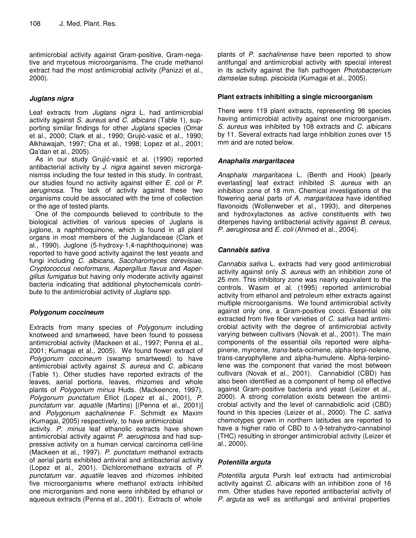antimicrobial activity against Gram-positive, Gram-negative and mycetous microorganisms. The crude methanol extract had the most antimicrobial activity (Panizzi et al., 2000).

# *Juglans nigra*

Leaf extracts from *Juglans nigra* L. had antimicrobial activity against *S. aureus* and *C. albicans* (Table 1), supporting similar findings for other *Juglans* species (Omar et al., 2000; Clark et al., 1990; Grujić-vasić et al., 1990; Alkhawajah, 1997; Cha et al., 1998; Lopez et al., 2001; Qa'dan et al., 2005).

As in our study Grujić-vasić et al. (1990) reported antibacterial activity by *J. nigra* against seven microrganismss including the four tested in this study. In contrast, our studies found no activity against either *E. coli* or *P. aeruginosa*. The lack of activity against these two organisms could be associated with the time of collection or the age of tested plants.

One of the compounds believed to contribute to the biological activities of various species of Juglans is juglone, a naphthoquinone, which is found in all plant organs in most members of the Juglandaceae (Clark et al., 1990). Juglone (5-hydroxy-1,4-naphthoquinone) was reported to have good activity against the test yeasts and fungi including *C. albicans, Saccharomyces cerevisiae, Cryptococcus neoformans, Aspergillus flavus* and *Aspergillus fumigatus* but having only moderate activity against bacteria indicating that additional phytochemicals contribute to the antimicrobial activity of *Juglans* spp.

# *Polygonum coccineum*

Extracts from many species of *Polygonum* including knotweed and smartweed, have been found to possess antimicrobial activity (Mackeen et al., 1997; Penna et al., 2001; Kumagai et al., 2005). We found flower extract of *Polygonum coccineum* (swamp smartweed) to have antimicrobial activity against *S. aureus* and *C. albicans* (Table 1). Other studies have reported extracts of the leaves, aerial portions, leaves, rhizomes and whole plants of *Polygonum minus* Huds. (Mackeencre, 1997), *Polygonum punctatum* Elliot (Lopez et al., 2001), *P. punctatum* var. *aquatile* (Martins) [(Penna et al., 2001)] and *Polygonum sachalinense* F. Schmidt ex Maxim (Kumagai, 2005) respectively, to have antimicrobial activity. *P. minus* leaf ethanolic extracts have shown antimicrobial activity against *P. aeruginosa* and had suppressive activity on a human cervical carcinoma cell-line (Mackeen et al., 1997). *P. punctatum* methanol extracts of aerial parts exhibited antiviral and antibacterial activity (Lopez et al., 2001). Dichloromethane extracts of *P. punctatum* var. *aquatile* leaves and rhizomes inhibited five microorganisms where methanol extracts inhibited one microrganism and none were inhibited by ethanol or aqueous extracts (Penna et al., 2001). Extracts of whole

plants of *P. sachalinense* have been reported to show antifungal and antimicrobial activity with special interest in its activity against the fish pathogen *Photobacterium damselae* subsp. *piscicida* (Kumagai et al., 2005).

# **Plant extracts inhibiting a single microorganism**

There were 119 plant extracts, representing 98 species having antimicrobial activity against one microorganism. *S. aureus* was inhibited by 108 extracts and *C. albicans* by 11*.* Several extracts had large inhibition zones over 15 mm and are noted below.

# *Anaphalis margaritacea*

*Anaphalis margaritacea* L. (Benth and Hook) [pearly everlasting] leaf extract inhibited *S. aureus* with an inhibition zone of 18 mm. Chemical investigations of the flowering aerial parts *of A. margaritacea* have identified flavonoids (Wollenweber et al., 1993), and diterpenes and hydroxylactones as active constituents with two diterpenes having antibacterial activity against *B. cereus, P. aeruginosa* and *E. coli* (Ahmed et al., 2004).

# *Cannabis sativa*

*Cannabis sativa* L. extracts had very good antimicrobial activity against only *S. aureus* with an inhibition zone of 25 mm. This inhibitory zone was nearly equivalent to the controls. Wasim et al. (1995) reported antimicrobial activity from ethanol and petroleum ether extracts against multiple microorganisms. We found antimicrobial activity against only one, a Gram-positive cocci. Essential oils extracted from five fiber varieties of *C. sativa* had antimicrobial activity with the degree of antimicrobial activity varying between cultivars (Novak et al., 2001). The main components of the essential oils reported were alphapinene, myrcene, *trans*-beta-ocimene, alpha-terpi-nolene, trans-caryophyllene and alpha-humulene. Alpha-terpinolene was the component that varied the most between cultivars (Novak et al., 2001). Cannabidiol (CBD) has also been identified as a component of hemp oil effective against Gram-positive bacteria and yeast (Leizer et al., 2000). A strong correlation exists between the antimicrobial activity and the level of cannabidiolic acid (CBD) found in this species (Leizer et al., 2000). The *C. sativa* chemotypes grown in northern latitudes are reported to have a higher ratio of CBD to  $\Delta$ -9-tetrahydro-cannabinol (THC) resulting in stronger antimicrobial activity (Leizer et al., 2000).

## *Potentilla arguta*

*Potentilla arguta* Pursh leaf extracts had antimicrobial activity against *C. albicans* with an inhibition zone of 16 mm. Other studies have reported antibacterial activity of *P. arguta* as well as antifungal and antiviral properties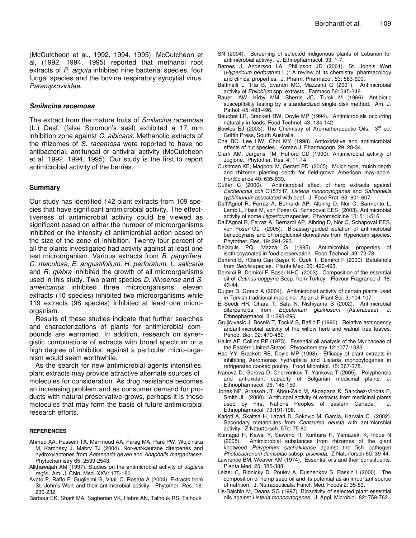(McCutcheon et al., 1992, 1994, 1995). McCutcheon et al, (1992, 1994, 1995) reported that methanol root extracts of *P. arguta* inhibited nine bacterial species, four fungal species and the bovine respiratory syncytial virus, *Paramyxoviridae*.

#### *Smilacina racemosa*

The extract from the mature fruits of *Smilacina racemosa* (L.) Desf. (false Solomon's seal) exhibited a 17 mm inhibition zone against *C. albicans*. Methanolic extracts of the rhizomes of *S. racemosa* were reported to have no antibacterial, antifungal or antiviral activity (McCutcheon et al. 1992, 1994, 1995). Our study is the first to report antimicrobial activity of the berries.

#### **Summary**

Our study has identified 142 plant extracts from 109 species that have significant antimicrobial activity. The effecttiveness of antimicrobial activity could be viewed as significant based on either the number of microorganisms inhibited or the intensity of antimicrobial action based on the size of the zone of inhibition. Twenty-four percent of all the plants investigated had activity against at least one test microorganism. Various extracts from *B. papyrifera, C. maculosa, E. angustifolium, H. perforatum*, *L. salicaria* and *R. glabra* inhibited the growth of all microorganisms used in this study. Two plant species *D. illinoense* and *S. americanus* inhibited three microorganisms, eleven extracts (10 species) inhibited two microorganisms while 119 extracts (98 species) inhibited at least one microorganism.

Results of these studies indicate that further searches and characterizations of plants for antimicrobial compounds are warranted. In addition, research on synergistic combinations of extracts with broad spectrum or a high degree of inhibition against a particular micro-organism would seem worthwhile.

As the search for new antimicrobial agents intensifies, plant extracts may provide attractive alternate sources of molecules for consideration. As drug resistance becomes an increasing problem and as consumer demand for products with natural preservative grows, perhaps it is these molecules that may form the basis of future antimicrobial research efforts.

#### **REFERENCES**

- Ahmed AA, Hussein TA, Mahmoud AA, Farag MA, Paré PW, Wojcińska M, Karchesy J, Mabry TJ (2004). Nor-*ent*-kaurane diterpenes and hydroxylactones from *Antennaria geyeri* and *Anaphalis margaritacea*. Phytochemistry 65: 2539-2543.
- Alkhawajah AM (1997). Studies on the antimicrobial activity of *Juglans regia*. Am. J. Chin. Med. XXV: 175-180.
- Avato P, Raffo F, Guglielmi G, Vitali C, Rosato A (2004). Extracts from St. John's Wort and their antimicrobial activity. Phytother. Res. 18: 230-232.

Barbour EK, Sharif MA, Sagherian VK, Habre AN, Talhouk RS, Talhouk

- SN (2004). Screening of selected indigenous plants of Lebanon for antimicrobial activity. J. Ethnopharmacol. 93: 1-7.
- Barnes J, Anderson LA, Phillipson JD (2001). St. John's Wort (*Hypericum perforatum* L.): A review of its chemistry, pharmacology and clinical properties. J. Pharm. Pharmacol. 53: 583-600.
- Battinelli L, Tita B, Evandri MG, Mazzanti G (2001). Antimicrobial activity of *Epilobium* spp. extracts. Farmaco 56: 345-348.
- Bauer, AW, Kirby MM, Sherris JC, Turck M (1966). Antibiotic susceptibility testing by a standardized single disk method. Am. J. Pathol. 45: 493-496.
- Beuchat LR, Brackett RW, Doyle MP (1994). Antimicrobials occurring naturally in foods. Food Technol. 43: 134-142.
- Bowles EJ (2003). The Chemistry of Aromatherapeutic Oils. 3<sup>rd</sup> ed. Griffin Press, South Australia.
- Cha BC, Lee HW, Choi MY (1998). Antioxidative and antimicrobial effects of nut species. Korean J. Pharmacogn. 29: 28-34.
- Clark AM, Jurgens TM, Hufford CD (1990). Antimicrobial activity of Juglone. Phytother. Res. 4: 11-14.
- Cushman KE, Maqbool M, Gerard PD (2005). Mulch type, mulch depth and rhizome planting depth for field-grown American may-apple. HortScience 40: 635-639.
- Cutter C (2000). Antimicrobial effect of herb extracts against *Escherichia coli* O157:H7, *Listeria monocytogenes* and *Salmonella typhimurium* associated with beef. J. Food Prot. 63: 601-607.
- Dall'Agnol R, Ferraz A, Bernardi AP, Albring D, Nör C, Sarmento L, Lamb L, Hass M, von Poser G, Schapoval EES (2003). Antimicrobial activity of some *Hypericum* species. Phytomedicine 10: 511-516.
- Dall'Agnol R, Ferraz A, Bernardi AP, Albring D, Nör C, Schapoval EES, von Poser GL (2005). Bioassay-guided isolation of antimicrobial benzopyrans and phloroglucinol derivatives from Hypericum species. Phytother. Res. 19: 291-293.
- Delaquis PQ, Mazza G (1995). Antimicrobial properties of isothiocyanates in food preservation. Food Technol. 49: 73-78.
- Demirci B, Hüsnü Can Baer K, Özek T, Demirci F (2000). Betulenols from *Betula* species. Planta Med. 66: 490-493.
- Demirci B, Demirci F, Baser KHC (2003). Composition of the essential oil of *Cotinus coggyria* Scop. from Turkey. Flavour Fragrance J. 18: 43-44.
- Dulger B, Gonuz A (2004). Antimicrobial activity of certain plants used in Turkish traditional medicine. Asian J. Plant Sci. 3: 104-107.
- El-Seedi HR, Ohara T, Sata N, Nishiyama S (2002). Antimicrobial diterpenoids from *Eupatorium glutinosum* (Asteraceae). Ethnopharmacol. 81: 293-296.
- Grujić-vasić J, Bosnić T, Tockić S, Bašić F (1990). Relative astringency andantimicrobial activity of the willow herb and walnut tree leaves. Period. Biol. 92: 479-480.
- Halim AF, Collins RP (1973). Essential oil analysis of the Myricaceae of the Eastern United States. Phytochemistry 12:1077-1083.
- Hao YY, Brackett RE, Doyle MP (1998). Efficacy of plant extracts in inhibiting Aeromonas hydrophilia and Listeria monocytogenes in refrigerated cooked poultry. Food Microbiol. 15: 367-378.
- Ivanova D, Gerova D, Chervenkov T, Yankova T (2005). Polyphenols and antioxidant capacity of Bulgarian medicinal plants. J. Ethnopharmacol. 96: 145-150.
- Jones NP, Arnason JT, Abou-Zaid M, Akpagana K, Sanchez-Vindas P, Smith JL (2000). Antifungal activity of extracts from medicinal plants used by First Nations Peoples of eastern Canada. J. Ethnopharmacol. 73:191-198.
- Karioti A, Skaltsa H, Lazari D, Sokovic M, Garcia, Harvala C (2002). Secondary metabolites from *Centaurea deusta* with antimicrobial activity. Z Naturforsch. 57c: 75-80.
- Kumagai H, Kawai Y, Sawano R, Kurihara H, Yamazaki K, Inoue N Antimicrobial substances from rhizomes of the giant knotweed *Polygonum sachalinense* against the fish pathogen *Photobacterium damselae* subsp. *piscicida.* Z Naturforsch 60: 39-44.
- Lawrence BM, Weaver KM (1974). Essential oils and their constituents. Planta Med. 25: 385-388.
- Leizer C, Ribnicky D, Poulev A, Dushenkov S, Raskin I (2000). The composition of hemp seed oil and its potential as an important source of nutrition. J. Nutraceuticals. Funct. Med. Foods 2: 35-53.
- Lis-Balchin M, Deans SG (1997). Bioactivity of selected plant essential oils against *Listeria monocytogenes*. J. Appl. Microbiol. 82: 759-762.